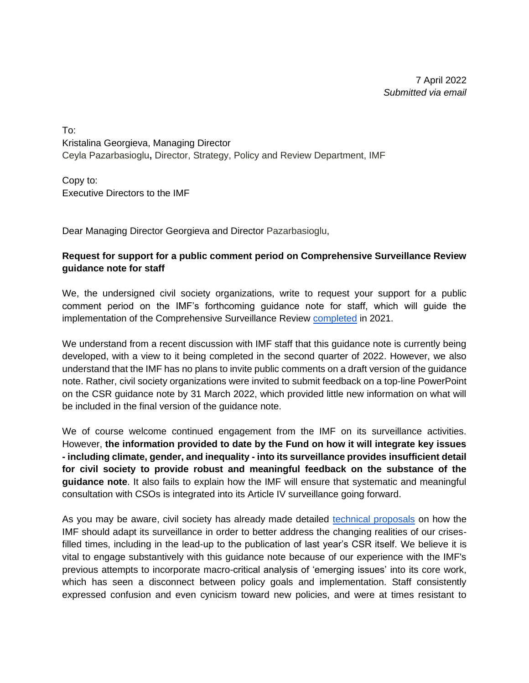7 April 2022 *Submitted via email*

To: Kristalina Georgieva, Managing Director Ceyla Pazarbasioglu**,** Director, Strategy, Policy and Review Department, IMF

Copy to: Executive Directors to the IMF

Dear Managing Director Georgieva and Director Pazarbasioglu,

## **Request for support for a public comment period on Comprehensive Surveillance Review guidance note for staff**

We, the undersigned civil society organizations, write to request your support for a public comment period on the IMF's forthcoming guidance note for staff, which will guide the implementation of the Comprehensive Surveillance Review [completed](https://www.imf.org/en/News/Articles/2021/05/19/pr21136-imf-executive-board-concludes-the-2021-comprehensive-surveillance-review#:~:text=IMF%20Executive%20Board%20Concludes%20the%202021%20Comprehensive%20Surveillance,more%20timely%2C%20topical%2C%20targeted%2C%20interconnected%2C%20and%20better%20informed.?msclkid=033fcd3dab8d11ec862560f99f258ca8) in 2021.

We understand from a recent discussion with IMF staff that this guidance note is currently being developed, with a view to it being completed in the second quarter of 2022. However, we also understand that the IMF has no plans to invite public comments on a draft version of the guidance note. Rather, civil society organizations were invited to submit feedback on a top-line PowerPoint on the CSR guidance note by 31 March 2022, which provided little new information on what will be included in the final version of the guidance note.

We of course welcome continued engagement from the IMF on its surveillance activities. However, **the information provided to date by the Fund on how it will integrate key issues - including climate, gender, and inequality - into its surveillance provides insufficient detail for civil society to provide robust and meaningful feedback on the substance of the guidance note**. It also fails to explain how the IMF will ensure that systematic and meaningful consultation with CSOs is integrated into its Article IV surveillance going forward.

As you may be aware, civil society has already made detailed [technical proposals](https://www.brettonwoodsproject.org/wp-content/uploads/2021/03/A-Proposed-Framework-for-IMF-Engagement-in-Country-level-Surveillance-on-Macrostructural-Issues-Inequality-Gender-and-Climate-Change.pdf) on how the IMF should adapt its surveillance in order to better address the changing realities of our crisesfilled times, including in the lead-up to the publication of last year's CSR itself. We believe it is vital to engage substantively with this guidance note because of our experience with the IMF's previous attempts to incorporate macro-critical analysis of 'emerging issues' into its core work, which has seen a disconnect between policy goals and implementation. Staff consistently expressed confusion and even cynicism toward new policies, and were at times resistant to